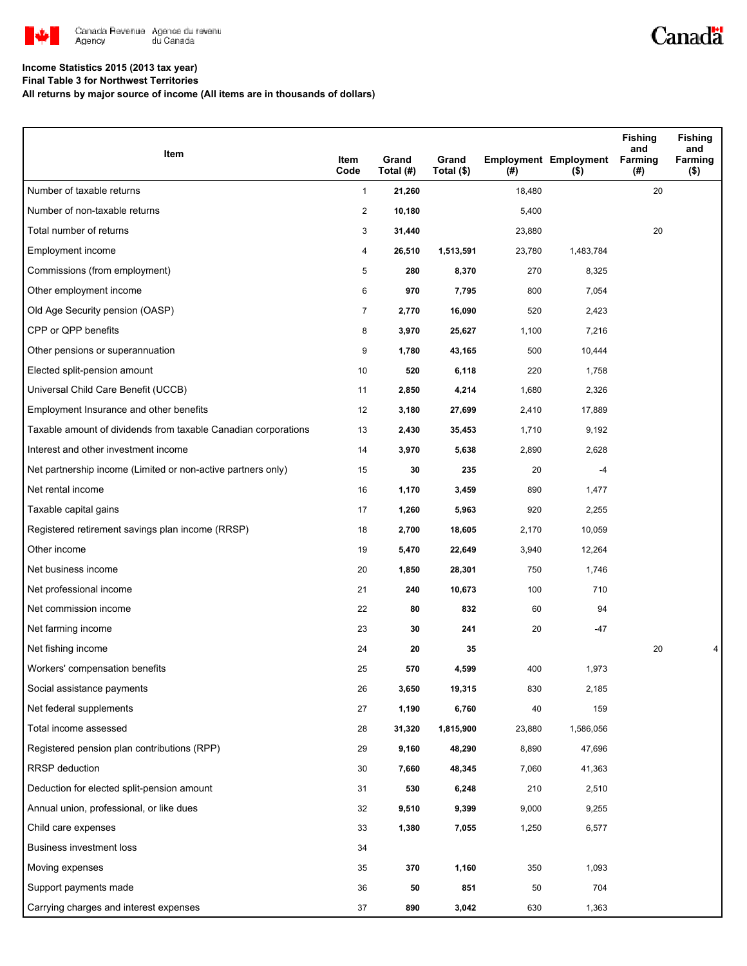

## Canadä

#### **Income Statistics 2015 (2013 tax year)**

**Final Table 3 for Northwest Territories**

**All returns by major source of income (All items are in thousands of dollars)**

| Item                                                           | Item           | Grand     | Grand      |        | <b>Employment Employment</b> | Fishing<br>and<br>Farming | <b>Fishing</b><br>and<br>Farming |
|----------------------------------------------------------------|----------------|-----------|------------|--------|------------------------------|---------------------------|----------------------------------|
|                                                                | Code           | Total (#) | Total (\$) | (#)    | ( \$)                        | (#)                       | $($ \$)                          |
| Number of taxable returns                                      | $\mathbf{1}$   | 21,260    |            | 18,480 |                              | 20                        |                                  |
| Number of non-taxable returns                                  | $\overline{c}$ | 10,180    |            | 5,400  |                              |                           |                                  |
| Total number of returns                                        | 3              | 31,440    |            | 23,880 |                              | 20                        |                                  |
| Employment income                                              | 4              | 26,510    | 1,513,591  | 23,780 | 1,483,784                    |                           |                                  |
| Commissions (from employment)                                  | 5              | 280       | 8,370      | 270    | 8,325                        |                           |                                  |
| Other employment income                                        | 6              | 970       | 7,795      | 800    | 7,054                        |                           |                                  |
| Old Age Security pension (OASP)                                | $\overline{7}$ | 2,770     | 16,090     | 520    | 2,423                        |                           |                                  |
| CPP or QPP benefits                                            | 8              | 3,970     | 25,627     | 1,100  | 7,216                        |                           |                                  |
| Other pensions or superannuation                               | 9              | 1,780     | 43,165     | 500    | 10,444                       |                           |                                  |
| Elected split-pension amount                                   | 10             | 520       | 6,118      | 220    | 1,758                        |                           |                                  |
| Universal Child Care Benefit (UCCB)                            | 11             | 2,850     | 4,214      | 1,680  | 2,326                        |                           |                                  |
| Employment Insurance and other benefits                        | 12             | 3,180     | 27,699     | 2,410  | 17,889                       |                           |                                  |
| Taxable amount of dividends from taxable Canadian corporations | 13             | 2,430     | 35,453     | 1,710  | 9,192                        |                           |                                  |
| Interest and other investment income                           | 14             | 3,970     | 5,638      | 2,890  | 2,628                        |                           |                                  |
| Net partnership income (Limited or non-active partners only)   | 15             | 30        | 235        | 20     | $-4$                         |                           |                                  |
| Net rental income                                              | 16             | 1,170     | 3,459      | 890    | 1,477                        |                           |                                  |
| Taxable capital gains                                          | 17             | 1,260     | 5,963      | 920    | 2,255                        |                           |                                  |
| Registered retirement savings plan income (RRSP)               | 18             | 2,700     | 18,605     | 2,170  | 10,059                       |                           |                                  |
| Other income                                                   | 19             | 5,470     | 22,649     | 3,940  | 12,264                       |                           |                                  |
| Net business income                                            | 20             | 1,850     | 28,301     | 750    | 1,746                        |                           |                                  |
| Net professional income                                        | 21             | 240       | 10,673     | 100    | 710                          |                           |                                  |
| Net commission income                                          | 22             | 80        | 832        | 60     | 94                           |                           |                                  |
| Net farming income                                             | 23             | 30        | 241        | 20     | $-47$                        |                           |                                  |
| Net fishing income                                             | 24             | 20        | 35         |        |                              | 20                        | 4                                |
| Workers' compensation benefits                                 | 25             | 570       | 4,599      | 400    | 1,973                        |                           |                                  |
| Social assistance payments                                     | 26             | 3,650     | 19,315     | 830    | 2,185                        |                           |                                  |
| Net federal supplements                                        | 27             | 1,190     | 6,760      | 40     | 159                          |                           |                                  |
| Total income assessed                                          | 28             | 31,320    | 1,815,900  | 23,880 | 1,586,056                    |                           |                                  |
| Registered pension plan contributions (RPP)                    | 29             | 9,160     | 48,290     | 8,890  | 47,696                       |                           |                                  |
| RRSP deduction                                                 | 30             | 7,660     | 48,345     | 7,060  | 41,363                       |                           |                                  |
| Deduction for elected split-pension amount                     | 31             | 530       | 6,248      | 210    | 2,510                        |                           |                                  |
| Annual union, professional, or like dues                       | 32             | 9,510     | 9,399      | 9,000  | 9,255                        |                           |                                  |
| Child care expenses                                            | 33             | 1,380     | 7,055      | 1,250  | 6,577                        |                           |                                  |
| Business investment loss                                       | 34             |           |            |        |                              |                           |                                  |
| Moving expenses                                                | 35             | 370       | 1,160      | 350    | 1,093                        |                           |                                  |
| Support payments made                                          | 36             | 50        | 851        | 50     | 704                          |                           |                                  |
| Carrying charges and interest expenses                         | 37             | 890       | 3,042      | 630    | 1,363                        |                           |                                  |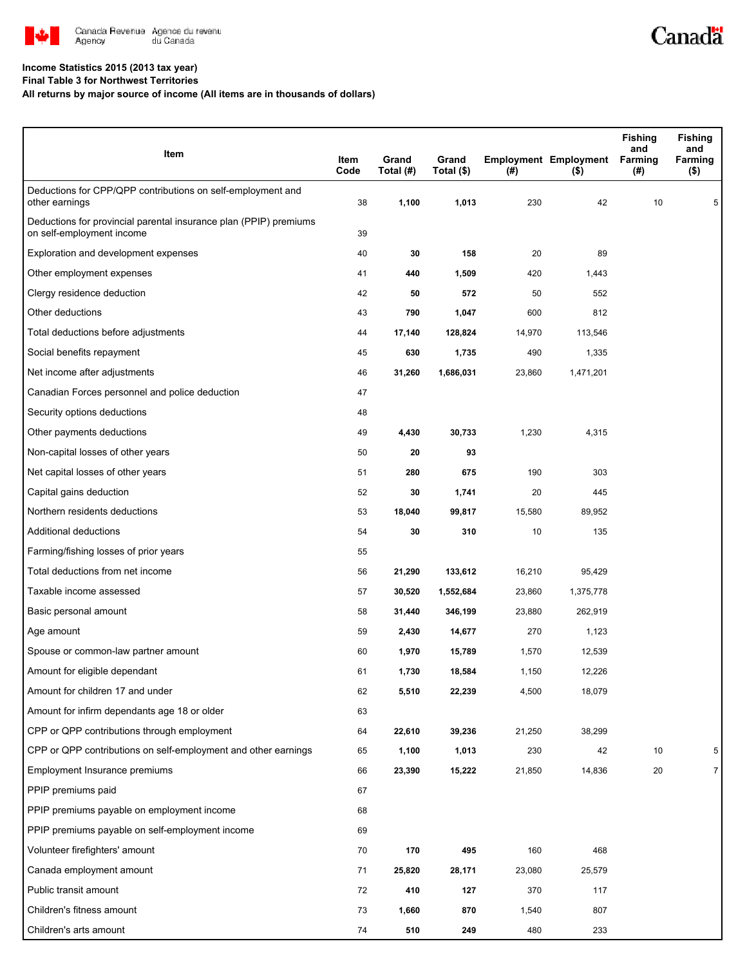

# Canadä

### **Income Statistics 2015 (2013 tax year)**

**Final Table 3 for Northwest Territories**

**All returns by major source of income (All items are in thousands of dollars)**

| Item                                                                                           | Item<br>Code | Grand<br>Total (#) | Grand<br>Total (\$) | (#)    | <b>Employment Employment</b><br>$($ \$) | <b>Fishing</b><br>and<br>Farming<br>(#) | <b>Fishing</b><br>and<br>Farming<br>$($ \$) |
|------------------------------------------------------------------------------------------------|--------------|--------------------|---------------------|--------|-----------------------------------------|-----------------------------------------|---------------------------------------------|
| Deductions for CPP/QPP contributions on self-employment and<br>other earnings                  | 38           | 1,100              | 1,013               | 230    | 42                                      | 10                                      | 5                                           |
| Deductions for provincial parental insurance plan (PPIP) premiums<br>on self-employment income | 39           |                    |                     |        |                                         |                                         |                                             |
| Exploration and development expenses                                                           | 40           | 30                 | 158                 | 20     | 89                                      |                                         |                                             |
| Other employment expenses                                                                      | 41           | 440                | 1,509               | 420    | 1,443                                   |                                         |                                             |
| Clergy residence deduction                                                                     | 42           | 50                 | 572                 | 50     | 552                                     |                                         |                                             |
| Other deductions                                                                               | 43           | 790                | 1,047               | 600    | 812                                     |                                         |                                             |
| Total deductions before adjustments                                                            | 44           | 17,140             | 128,824             | 14,970 | 113,546                                 |                                         |                                             |
| Social benefits repayment                                                                      | 45           | 630                | 1,735               | 490    | 1,335                                   |                                         |                                             |
| Net income after adjustments                                                                   | 46           | 31,260             | 1,686,031           | 23,860 | 1,471,201                               |                                         |                                             |
| Canadian Forces personnel and police deduction                                                 | 47           |                    |                     |        |                                         |                                         |                                             |
| Security options deductions                                                                    | 48           |                    |                     |        |                                         |                                         |                                             |
| Other payments deductions                                                                      | 49           | 4,430              | 30,733              | 1,230  | 4,315                                   |                                         |                                             |
| Non-capital losses of other years                                                              | 50           | 20                 | 93                  |        |                                         |                                         |                                             |
| Net capital losses of other years                                                              | 51           | 280                | 675                 | 190    | 303                                     |                                         |                                             |
| Capital gains deduction                                                                        | 52           | 30                 | 1,741               | 20     | 445                                     |                                         |                                             |
| Northern residents deductions                                                                  | 53           | 18,040             | 99,817              | 15,580 | 89,952                                  |                                         |                                             |
| Additional deductions                                                                          | 54           | 30                 | 310                 | 10     | 135                                     |                                         |                                             |
| Farming/fishing losses of prior years                                                          | 55           |                    |                     |        |                                         |                                         |                                             |
| Total deductions from net income                                                               | 56           | 21,290             | 133,612             | 16,210 | 95,429                                  |                                         |                                             |
| Taxable income assessed                                                                        | 57           | 30,520             | 1,552,684           | 23,860 | 1,375,778                               |                                         |                                             |
| Basic personal amount                                                                          | 58           | 31,440             | 346,199             | 23,880 | 262,919                                 |                                         |                                             |
| Age amount                                                                                     | 59           | 2,430              | 14,677              | 270    | 1,123                                   |                                         |                                             |
| Spouse or common-law partner amount                                                            | 60           | 1,970              | 15,789              | 1,570  | 12,539                                  |                                         |                                             |
| Amount for eligible dependant                                                                  | 61           | 1,730              | 18,584              | 1,150  | 12,226                                  |                                         |                                             |
| Amount for children 17 and under                                                               | 62           | 5,510              | 22,239              | 4,500  | 18,079                                  |                                         |                                             |
| Amount for infirm dependants age 18 or older                                                   | 63           |                    |                     |        |                                         |                                         |                                             |
| CPP or QPP contributions through employment                                                    | 64           | 22,610             | 39,236              | 21,250 | 38,299                                  |                                         |                                             |
| CPP or QPP contributions on self-employment and other earnings                                 | 65           | 1,100              | 1,013               | 230    | 42                                      | 10                                      | 5                                           |
| Employment Insurance premiums                                                                  | 66           | 23,390             | 15,222              | 21,850 | 14,836                                  | 20                                      | 7                                           |
| PPIP premiums paid                                                                             | 67           |                    |                     |        |                                         |                                         |                                             |
| PPIP premiums payable on employment income                                                     | 68           |                    |                     |        |                                         |                                         |                                             |
| PPIP premiums payable on self-employment income                                                | 69           |                    |                     |        |                                         |                                         |                                             |
| Volunteer firefighters' amount                                                                 | 70           | 170                | 495                 | 160    | 468                                     |                                         |                                             |
| Canada employment amount                                                                       | 71           | 25,820             | 28,171              | 23,080 | 25,579                                  |                                         |                                             |
| Public transit amount                                                                          | 72           | 410                | 127                 | 370    | 117                                     |                                         |                                             |
| Children's fitness amount                                                                      | 73           | 1,660              | 870                 | 1,540  | 807                                     |                                         |                                             |
| Children's arts amount                                                                         | 74           | 510                | 249                 | 480    | 233                                     |                                         |                                             |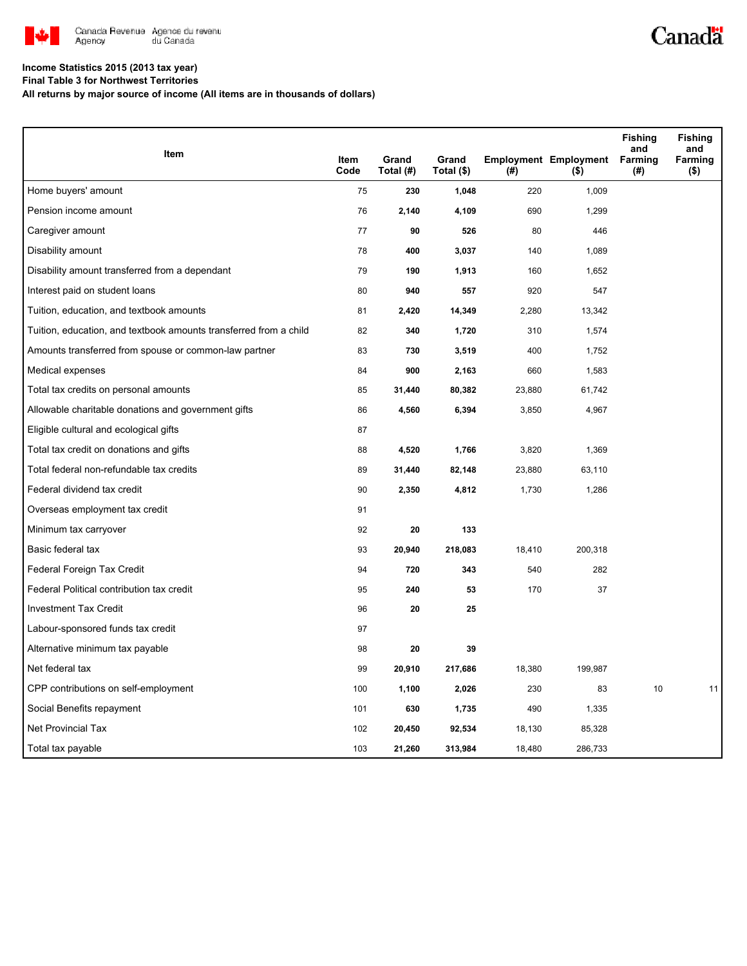

## Canadä

### **Income Statistics 2015 (2013 tax year)**

**Final Table 3 for Northwest Territories**

**All returns by major source of income (All items are in thousands of dollars)**

|                                                                   |              |                    |                     |        |                                         | <b>Fishing</b><br>and | <b>Fishing</b><br>and |
|-------------------------------------------------------------------|--------------|--------------------|---------------------|--------|-----------------------------------------|-----------------------|-----------------------|
| Item                                                              | Item<br>Code | Grand<br>Total (#) | Grand<br>Total (\$) | (#)    | <b>Employment Employment</b><br>$($ \$) | Farming<br>(#)        | Farming<br>$($ \$)    |
| Home buyers' amount                                               | 75           | 230                | 1,048               | 220    | 1,009                                   |                       |                       |
| Pension income amount                                             | 76           | 2,140              | 4,109               | 690    | 1,299                                   |                       |                       |
| Caregiver amount                                                  | 77           | 90                 | 526                 | 80     | 446                                     |                       |                       |
| Disability amount                                                 | 78           | 400                | 3,037               | 140    | 1,089                                   |                       |                       |
| Disability amount transferred from a dependant                    | 79           | 190                | 1,913               | 160    | 1,652                                   |                       |                       |
| Interest paid on student loans                                    | 80           | 940                | 557                 | 920    | 547                                     |                       |                       |
| Tuition, education, and textbook amounts                          | 81           | 2,420              | 14,349              | 2,280  | 13,342                                  |                       |                       |
| Tuition, education, and textbook amounts transferred from a child | 82           | 340                | 1,720               | 310    | 1,574                                   |                       |                       |
| Amounts transferred from spouse or common-law partner             | 83           | 730                | 3,519               | 400    | 1,752                                   |                       |                       |
| Medical expenses                                                  | 84           | 900                | 2,163               | 660    | 1,583                                   |                       |                       |
| Total tax credits on personal amounts                             | 85           | 31,440             | 80,382              | 23,880 | 61,742                                  |                       |                       |
| Allowable charitable donations and government gifts               | 86           | 4,560              | 6,394               | 3,850  | 4,967                                   |                       |                       |
| Eligible cultural and ecological gifts                            | 87           |                    |                     |        |                                         |                       |                       |
| Total tax credit on donations and gifts                           | 88           | 4,520              | 1,766               | 3,820  | 1,369                                   |                       |                       |
| Total federal non-refundable tax credits                          | 89           | 31,440             | 82,148              | 23,880 | 63,110                                  |                       |                       |
| Federal dividend tax credit                                       | 90           | 2,350              | 4,812               | 1,730  | 1,286                                   |                       |                       |
| Overseas employment tax credit                                    | 91           |                    |                     |        |                                         |                       |                       |
| Minimum tax carryover                                             | 92           | 20                 | 133                 |        |                                         |                       |                       |
| Basic federal tax                                                 | 93           | 20,940             | 218,083             | 18,410 | 200,318                                 |                       |                       |
| Federal Foreign Tax Credit                                        | 94           | 720                | 343                 | 540    | 282                                     |                       |                       |
| Federal Political contribution tax credit                         | 95           | 240                | 53                  | 170    | 37                                      |                       |                       |
| <b>Investment Tax Credit</b>                                      | 96           | 20                 | 25                  |        |                                         |                       |                       |
| Labour-sponsored funds tax credit                                 | 97           |                    |                     |        |                                         |                       |                       |
| Alternative minimum tax payable                                   | 98           | 20                 | 39                  |        |                                         |                       |                       |
| Net federal tax                                                   | 99           | 20,910             | 217,686             | 18,380 | 199,987                                 |                       |                       |
| CPP contributions on self-employment                              | 100          | 1,100              | 2,026               | 230    | 83                                      | 10                    | 11                    |
| Social Benefits repayment                                         | 101          | 630                | 1,735               | 490    | 1,335                                   |                       |                       |
| <b>Net Provincial Tax</b>                                         | 102          | 20,450             | 92,534              | 18,130 | 85,328                                  |                       |                       |
| Total tax payable                                                 | 103          | 21,260             | 313,984             | 18,480 | 286,733                                 |                       |                       |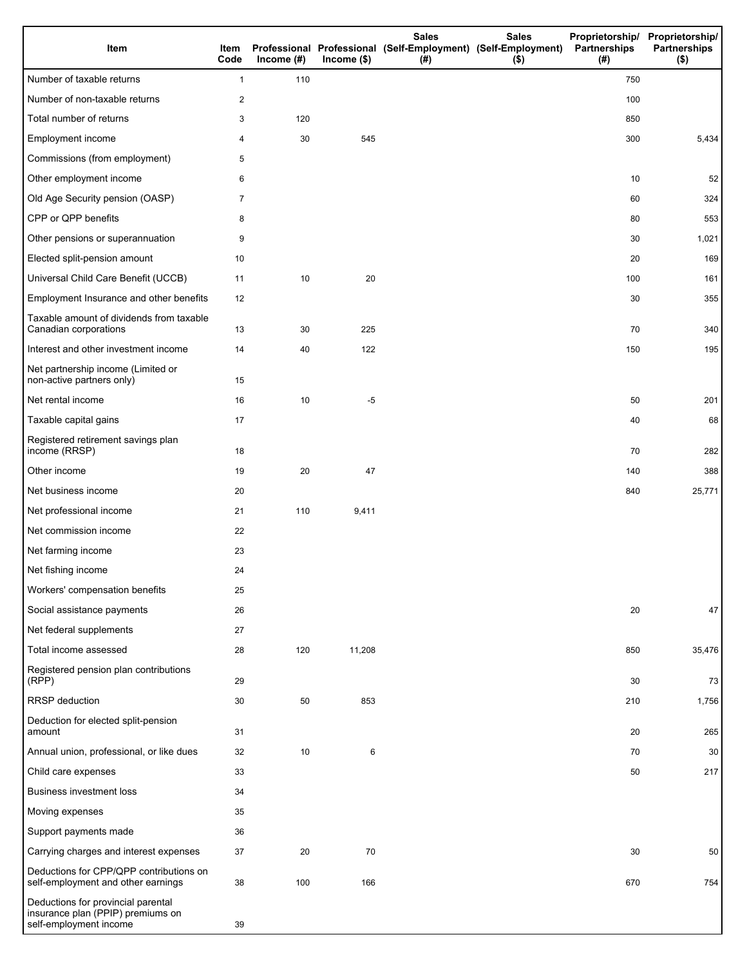| Item                                                                                              | Item<br>Code   | Income $(#)$ | $Income$ (\$) | <b>Sales</b><br>Professional Professional (Self-Employment) (Self-Employment)<br>(#) | <b>Sales</b><br>$($ \$) | Partnerships<br>(# ) | Proprietorship/ Proprietorship/<br><b>Partnerships</b><br>$($ \$) |
|---------------------------------------------------------------------------------------------------|----------------|--------------|---------------|--------------------------------------------------------------------------------------|-------------------------|----------------------|-------------------------------------------------------------------|
| Number of taxable returns                                                                         | $\mathbf{1}$   | 110          |               |                                                                                      |                         | 750                  |                                                                   |
| Number of non-taxable returns                                                                     | $\overline{c}$ |              |               |                                                                                      |                         | 100                  |                                                                   |
| Total number of returns                                                                           | 3              | 120          |               |                                                                                      |                         | 850                  |                                                                   |
| Employment income                                                                                 | 4              | 30           | 545           |                                                                                      |                         | 300                  | 5,434                                                             |
| Commissions (from employment)                                                                     | 5              |              |               |                                                                                      |                         |                      |                                                                   |
| Other employment income                                                                           | 6              |              |               |                                                                                      |                         | 10                   | 52                                                                |
| Old Age Security pension (OASP)                                                                   | 7              |              |               |                                                                                      |                         | 60                   | 324                                                               |
| CPP or QPP benefits                                                                               | 8              |              |               |                                                                                      |                         | 80                   | 553                                                               |
| Other pensions or superannuation                                                                  | 9              |              |               |                                                                                      |                         | 30                   | 1,021                                                             |
| Elected split-pension amount                                                                      | 10             |              |               |                                                                                      |                         | 20                   | 169                                                               |
| Universal Child Care Benefit (UCCB)                                                               | 11             | 10           | 20            |                                                                                      |                         | 100                  | 161                                                               |
| Employment Insurance and other benefits                                                           | 12             |              |               |                                                                                      |                         | 30                   | 355                                                               |
| Taxable amount of dividends from taxable<br>Canadian corporations                                 | 13             | 30           | 225           |                                                                                      |                         | 70                   | 340                                                               |
| Interest and other investment income                                                              | 14             | 40           | 122           |                                                                                      |                         | 150                  | 195                                                               |
| Net partnership income (Limited or<br>non-active partners only)                                   | 15             |              |               |                                                                                      |                         |                      |                                                                   |
| Net rental income                                                                                 | 16             | 10           | -5            |                                                                                      |                         | 50                   | 201                                                               |
| Taxable capital gains                                                                             | 17             |              |               |                                                                                      |                         | 40                   | 68                                                                |
| Registered retirement savings plan<br>income (RRSP)                                               | 18             |              |               |                                                                                      |                         | 70                   | 282                                                               |
| Other income                                                                                      | 19             | 20           | 47            |                                                                                      |                         | 140                  | 388                                                               |
| Net business income                                                                               | 20             |              |               |                                                                                      |                         | 840                  | 25,771                                                            |
| Net professional income                                                                           | 21             | 110          | 9,411         |                                                                                      |                         |                      |                                                                   |
| Net commission income                                                                             | 22             |              |               |                                                                                      |                         |                      |                                                                   |
| Net farming income                                                                                | 23             |              |               |                                                                                      |                         |                      |                                                                   |
| Net fishing income                                                                                | 24             |              |               |                                                                                      |                         |                      |                                                                   |
| Workers' compensation benefits                                                                    | 25             |              |               |                                                                                      |                         |                      |                                                                   |
| Social assistance payments                                                                        | 26             |              |               |                                                                                      |                         | 20                   | 47                                                                |
| Net federal supplements                                                                           | 27             |              |               |                                                                                      |                         |                      |                                                                   |
| Total income assessed                                                                             | 28             | 120          | 11,208        |                                                                                      |                         | 850                  | 35,476                                                            |
| Registered pension plan contributions<br>(RPP)                                                    | 29             |              |               |                                                                                      |                         | 30                   | 73                                                                |
| RRSP deduction                                                                                    | 30             | 50           | 853           |                                                                                      |                         | 210                  | 1,756                                                             |
| Deduction for elected split-pension<br>amount                                                     | 31             |              |               |                                                                                      |                         | 20                   | 265                                                               |
| Annual union, professional, or like dues                                                          | 32             | 10           | 6             |                                                                                      |                         | 70                   | 30                                                                |
| Child care expenses                                                                               | 33             |              |               |                                                                                      |                         | 50                   | 217                                                               |
| Business investment loss                                                                          | 34             |              |               |                                                                                      |                         |                      |                                                                   |
| Moving expenses                                                                                   | 35             |              |               |                                                                                      |                         |                      |                                                                   |
| Support payments made                                                                             | 36             |              |               |                                                                                      |                         |                      |                                                                   |
| Carrying charges and interest expenses                                                            | 37             | 20           | 70            |                                                                                      |                         | 30                   | 50                                                                |
| Deductions for CPP/QPP contributions on<br>self-employment and other earnings                     | 38             | 100          | 166           |                                                                                      |                         | 670                  | 754                                                               |
| Deductions for provincial parental<br>insurance plan (PPIP) premiums on<br>self-employment income | 39             |              |               |                                                                                      |                         |                      |                                                                   |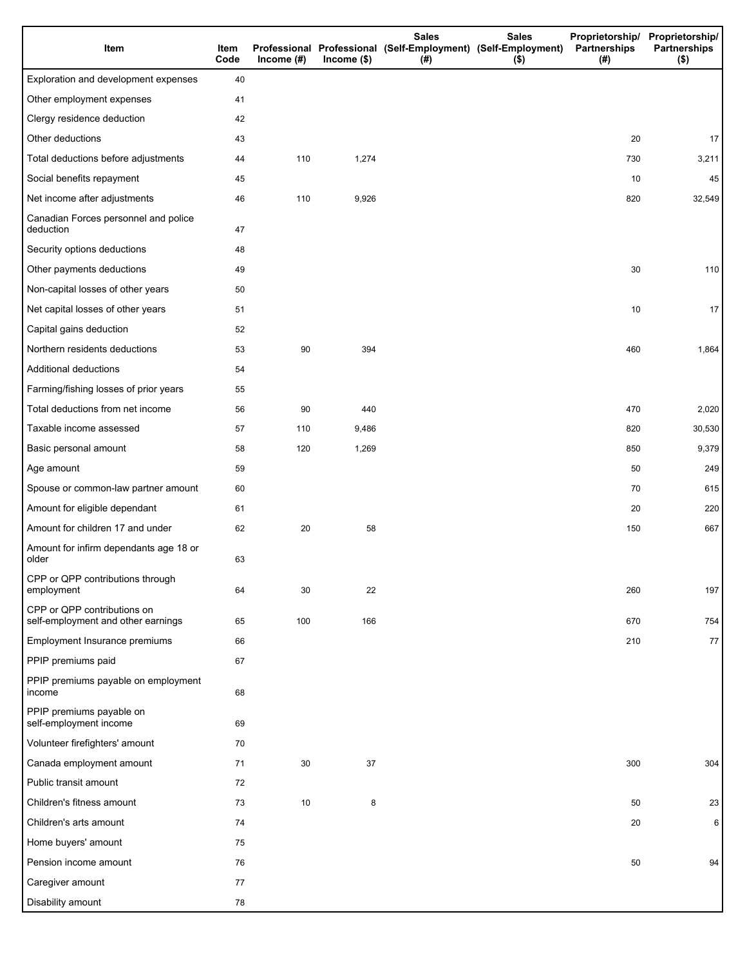| Item                                                              | Item<br>Code | Income $(\#)$ | $Income$ (\$) | <b>Sales</b><br>Professional Professional (Self-Employment) (Self-Employment)<br>(# ) | <b>Sales</b><br>$($ \$) | Partnerships<br>(#) | Proprietorship/ Proprietorship/<br><b>Partnerships</b><br>$($ \$) |
|-------------------------------------------------------------------|--------------|---------------|---------------|---------------------------------------------------------------------------------------|-------------------------|---------------------|-------------------------------------------------------------------|
| Exploration and development expenses                              | 40           |               |               |                                                                                       |                         |                     |                                                                   |
| Other employment expenses                                         | 41           |               |               |                                                                                       |                         |                     |                                                                   |
| Clergy residence deduction                                        | 42           |               |               |                                                                                       |                         |                     |                                                                   |
| Other deductions                                                  | 43           |               |               |                                                                                       |                         | 20                  | 17                                                                |
| Total deductions before adjustments                               | 44           | 110           | 1,274         |                                                                                       |                         | 730                 | 3,211                                                             |
| Social benefits repayment                                         | 45           |               |               |                                                                                       |                         | 10                  | 45                                                                |
| Net income after adjustments                                      | 46           | 110           | 9,926         |                                                                                       |                         | 820                 | 32,549                                                            |
| Canadian Forces personnel and police<br>deduction                 | 47           |               |               |                                                                                       |                         |                     |                                                                   |
| Security options deductions                                       | 48           |               |               |                                                                                       |                         |                     |                                                                   |
| Other payments deductions                                         | 49           |               |               |                                                                                       |                         | 30                  | 110                                                               |
| Non-capital losses of other years                                 | 50           |               |               |                                                                                       |                         |                     |                                                                   |
| Net capital losses of other years                                 | 51           |               |               |                                                                                       |                         | 10                  | 17                                                                |
| Capital gains deduction                                           | 52           |               |               |                                                                                       |                         |                     |                                                                   |
| Northern residents deductions                                     | 53           | 90            | 394           |                                                                                       |                         | 460                 | 1,864                                                             |
| Additional deductions                                             | 54           |               |               |                                                                                       |                         |                     |                                                                   |
| Farming/fishing losses of prior years                             | 55           |               |               |                                                                                       |                         |                     |                                                                   |
| Total deductions from net income                                  | 56           | 90            | 440           |                                                                                       |                         | 470                 | 2,020                                                             |
| Taxable income assessed                                           | 57           | 110           | 9,486         |                                                                                       |                         | 820                 | 30,530                                                            |
| Basic personal amount                                             | 58           | 120           | 1,269         |                                                                                       |                         | 850                 | 9,379                                                             |
| Age amount                                                        | 59           |               |               |                                                                                       |                         | 50                  | 249                                                               |
| Spouse or common-law partner amount                               | 60           |               |               |                                                                                       |                         | 70                  | 615                                                               |
| Amount for eligible dependant                                     | 61           |               |               |                                                                                       |                         | 20                  | 220                                                               |
| Amount for children 17 and under                                  | 62           | 20            | 58            |                                                                                       |                         | 150                 | 667                                                               |
| Amount for infirm dependants age 18 or<br>older                   | 63           |               |               |                                                                                       |                         |                     |                                                                   |
| CPP or QPP contributions through<br>employment                    | 64           | 30            | 22            |                                                                                       |                         | 260                 | 197                                                               |
| CPP or QPP contributions on<br>self-employment and other earnings | 65           | 100           | 166           |                                                                                       |                         | 670                 | 754                                                               |
| Employment Insurance premiums                                     | 66           |               |               |                                                                                       |                         | 210                 | 77                                                                |
| PPIP premiums paid                                                | 67           |               |               |                                                                                       |                         |                     |                                                                   |
| PPIP premiums payable on employment<br>income                     | 68           |               |               |                                                                                       |                         |                     |                                                                   |
| PPIP premiums payable on<br>self-employment income                | 69           |               |               |                                                                                       |                         |                     |                                                                   |
| Volunteer firefighters' amount                                    | 70           |               |               |                                                                                       |                         |                     |                                                                   |
| Canada employment amount                                          | 71           | 30            | 37            |                                                                                       |                         | 300                 | 304                                                               |
| Public transit amount                                             | 72           |               |               |                                                                                       |                         |                     |                                                                   |
| Children's fitness amount                                         | 73           | 10            | 8             |                                                                                       |                         | 50                  | 23                                                                |
| Children's arts amount                                            | 74           |               |               |                                                                                       |                         | 20                  | 6                                                                 |
| Home buyers' amount                                               | 75           |               |               |                                                                                       |                         |                     |                                                                   |
| Pension income amount                                             | 76           |               |               |                                                                                       |                         | 50                  | 94                                                                |
| Caregiver amount                                                  | 77           |               |               |                                                                                       |                         |                     |                                                                   |
| Disability amount                                                 | 78           |               |               |                                                                                       |                         |                     |                                                                   |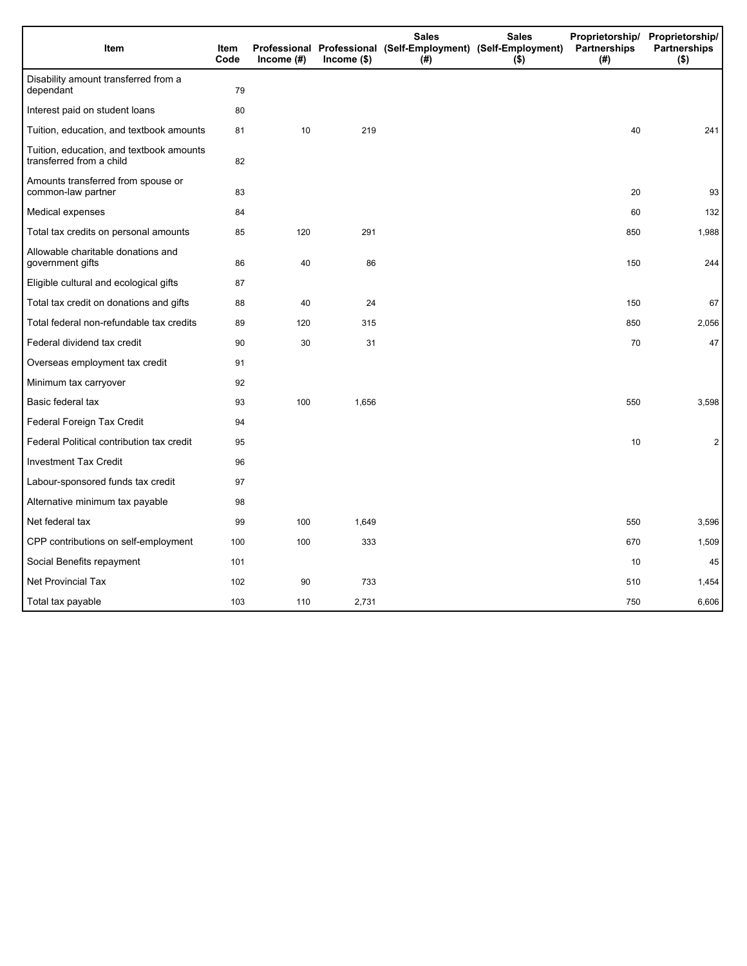| Item                                                                 | Item<br>Code | Income (#) | $lncome$ (\$) | <b>Sales</b><br>(#) | <b>Sales</b><br>Professional Professional (Self-Employment) (Self-Employment)<br>$($ \$) | Partnerships<br>(#) | Proprietorship/ Proprietorship/<br><b>Partnerships</b><br>$($ \$) |
|----------------------------------------------------------------------|--------------|------------|---------------|---------------------|------------------------------------------------------------------------------------------|---------------------|-------------------------------------------------------------------|
| Disability amount transferred from a<br>dependant                    | 79           |            |               |                     |                                                                                          |                     |                                                                   |
| Interest paid on student loans                                       | 80           |            |               |                     |                                                                                          |                     |                                                                   |
| Tuition, education, and textbook amounts                             | 81           | 10         | 219           |                     |                                                                                          | 40                  | 241                                                               |
| Tuition, education, and textbook amounts<br>transferred from a child | 82           |            |               |                     |                                                                                          |                     |                                                                   |
| Amounts transferred from spouse or<br>common-law partner             | 83           |            |               |                     |                                                                                          | 20                  | 93                                                                |
| Medical expenses                                                     | 84           |            |               |                     |                                                                                          | 60                  | 132                                                               |
| Total tax credits on personal amounts                                | 85           | 120        | 291           |                     |                                                                                          | 850                 | 1,988                                                             |
| Allowable charitable donations and<br>government gifts               | 86           | 40         | 86            |                     |                                                                                          | 150                 | 244                                                               |
| Eligible cultural and ecological gifts                               | 87           |            |               |                     |                                                                                          |                     |                                                                   |
| Total tax credit on donations and gifts                              | 88           | 40         | 24            |                     |                                                                                          | 150                 | 67                                                                |
| Total federal non-refundable tax credits                             | 89           | 120        | 315           |                     |                                                                                          | 850                 | 2,056                                                             |
| Federal dividend tax credit                                          | 90           | 30         | 31            |                     |                                                                                          | 70                  | 47                                                                |
| Overseas employment tax credit                                       | 91           |            |               |                     |                                                                                          |                     |                                                                   |
| Minimum tax carryover                                                | 92           |            |               |                     |                                                                                          |                     |                                                                   |
| Basic federal tax                                                    | 93           | 100        | 1,656         |                     |                                                                                          | 550                 | 3,598                                                             |
| Federal Foreign Tax Credit                                           | 94           |            |               |                     |                                                                                          |                     |                                                                   |
| Federal Political contribution tax credit                            | 95           |            |               |                     |                                                                                          | 10                  | 2                                                                 |
| <b>Investment Tax Credit</b>                                         | 96           |            |               |                     |                                                                                          |                     |                                                                   |
| Labour-sponsored funds tax credit                                    | 97           |            |               |                     |                                                                                          |                     |                                                                   |
| Alternative minimum tax payable                                      | 98           |            |               |                     |                                                                                          |                     |                                                                   |
| Net federal tax                                                      | 99           | 100        | 1,649         |                     |                                                                                          | 550                 | 3,596                                                             |
| CPP contributions on self-employment                                 | 100          | 100        | 333           |                     |                                                                                          | 670                 | 1,509                                                             |
| Social Benefits repayment                                            | 101          |            |               |                     |                                                                                          | 10                  | 45                                                                |
| <b>Net Provincial Tax</b>                                            | 102          | 90         | 733           |                     |                                                                                          | 510                 | 1,454                                                             |
| Total tax payable                                                    | 103          | 110        | 2,731         |                     |                                                                                          | 750                 | 6,606                                                             |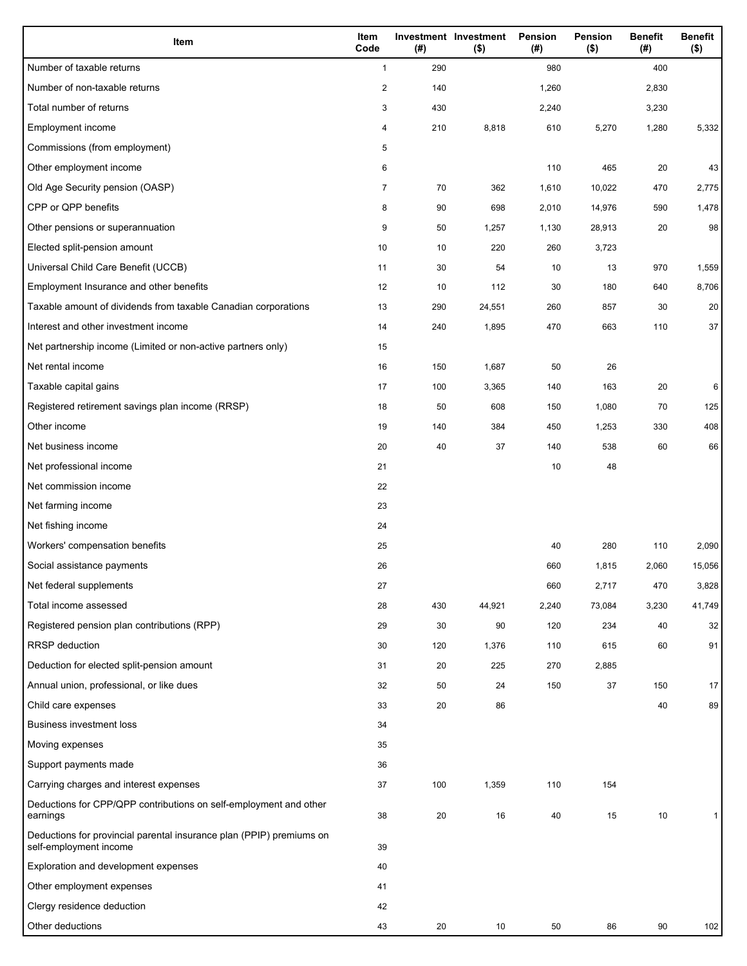| Item                                                                                           | Item<br>Code            | (#) | <b>Investment Investment</b><br>$($ \$) | Pension<br>(#) | <b>Pension</b><br>$($ \$) | <b>Benefit</b><br>(#) | <b>Benefit</b><br>$($ \$) |
|------------------------------------------------------------------------------------------------|-------------------------|-----|-----------------------------------------|----------------|---------------------------|-----------------------|---------------------------|
| Number of taxable returns                                                                      | $\mathbf{1}$            | 290 |                                         | 980            |                           | 400                   |                           |
| Number of non-taxable returns                                                                  | $\overline{\mathbf{c}}$ | 140 |                                         | 1,260          |                           | 2,830                 |                           |
| Total number of returns                                                                        | 3                       | 430 |                                         | 2,240          |                           | 3,230                 |                           |
| Employment income                                                                              | 4                       | 210 | 8,818                                   | 610            | 5,270                     | 1,280                 | 5,332                     |
| Commissions (from employment)                                                                  | 5                       |     |                                         |                |                           |                       |                           |
| Other employment income                                                                        | 6                       |     |                                         | 110            | 465                       | 20                    | 43                        |
| Old Age Security pension (OASP)                                                                | $\overline{7}$          | 70  | 362                                     | 1,610          | 10,022                    | 470                   | 2,775                     |
| CPP or QPP benefits                                                                            | 8                       | 90  | 698                                     | 2,010          | 14,976                    | 590                   | 1,478                     |
| Other pensions or superannuation                                                               | 9                       | 50  | 1,257                                   | 1,130          | 28,913                    | 20                    | 98                        |
| Elected split-pension amount                                                                   | 10                      | 10  | 220                                     | 260            | 3,723                     |                       |                           |
| Universal Child Care Benefit (UCCB)                                                            | 11                      | 30  | 54                                      | 10             | 13                        | 970                   | 1,559                     |
| Employment Insurance and other benefits                                                        | 12                      | 10  | 112                                     | 30             | 180                       | 640                   | 8,706                     |
| Taxable amount of dividends from taxable Canadian corporations                                 | 13                      | 290 | 24,551                                  | 260            | 857                       | 30                    | 20                        |
| Interest and other investment income                                                           | 14                      | 240 | 1,895                                   | 470            | 663                       | 110                   | 37                        |
| Net partnership income (Limited or non-active partners only)                                   | 15                      |     |                                         |                |                           |                       |                           |
| Net rental income                                                                              | 16                      | 150 | 1,687                                   | 50             | 26                        |                       |                           |
| Taxable capital gains                                                                          | 17                      | 100 | 3,365                                   | 140            | 163                       | 20                    | 6                         |
| Registered retirement savings plan income (RRSP)                                               | 18                      | 50  | 608                                     | 150            | 1,080                     | 70                    | 125                       |
| Other income                                                                                   | 19                      | 140 | 384                                     | 450            | 1,253                     | 330                   | 408                       |
| Net business income                                                                            | 20                      | 40  | 37                                      | 140            | 538                       | 60                    | 66                        |
| Net professional income                                                                        | 21                      |     |                                         | 10             | 48                        |                       |                           |
| Net commission income                                                                          | 22                      |     |                                         |                |                           |                       |                           |
| Net farming income                                                                             | 23                      |     |                                         |                |                           |                       |                           |
| Net fishing income                                                                             | 24                      |     |                                         |                |                           |                       |                           |
| Workers' compensation benefits                                                                 | 25                      |     |                                         | 40             | 280                       | 110                   | 2,090                     |
| Social assistance payments                                                                     | 26                      |     |                                         | 660            | 1,815                     | 2,060                 | 15,056                    |
| Net federal supplements                                                                        | 27                      |     |                                         | 660            | 2,717                     | 470                   | 3,828                     |
| Total income assessed                                                                          | 28                      | 430 | 44,921                                  | 2,240          | 73,084                    | 3,230                 | 41,749                    |
| Registered pension plan contributions (RPP)                                                    | 29                      | 30  | 90                                      | 120            | 234                       | 40                    | 32                        |
| <b>RRSP</b> deduction                                                                          | 30                      | 120 | 1,376                                   | 110            | 615                       | 60                    | 91                        |
| Deduction for elected split-pension amount                                                     | 31                      | 20  | 225                                     | 270            | 2,885                     |                       |                           |
| Annual union, professional, or like dues                                                       | 32                      | 50  | 24                                      | 150            | 37                        | 150                   | 17                        |
| Child care expenses                                                                            | 33                      | 20  | 86                                      |                |                           | 40                    | 89                        |
| <b>Business investment loss</b>                                                                | 34                      |     |                                         |                |                           |                       |                           |
| Moving expenses                                                                                | 35                      |     |                                         |                |                           |                       |                           |
| Support payments made                                                                          | 36                      |     |                                         |                |                           |                       |                           |
| Carrying charges and interest expenses                                                         | 37                      | 100 | 1,359                                   | 110            | 154                       |                       |                           |
| Deductions for CPP/QPP contributions on self-employment and other                              |                         |     |                                         |                |                           |                       |                           |
| earnings                                                                                       | 38                      | 20  | 16                                      | 40             | 15                        | 10                    |                           |
| Deductions for provincial parental insurance plan (PPIP) premiums on<br>self-employment income | 39                      |     |                                         |                |                           |                       |                           |
| Exploration and development expenses                                                           | 40                      |     |                                         |                |                           |                       |                           |
| Other employment expenses                                                                      | 41                      |     |                                         |                |                           |                       |                           |
| Clergy residence deduction                                                                     | 42                      |     |                                         |                |                           |                       |                           |
| Other deductions                                                                               | 43                      | 20  | 10                                      | 50             | 86                        | 90                    | 102                       |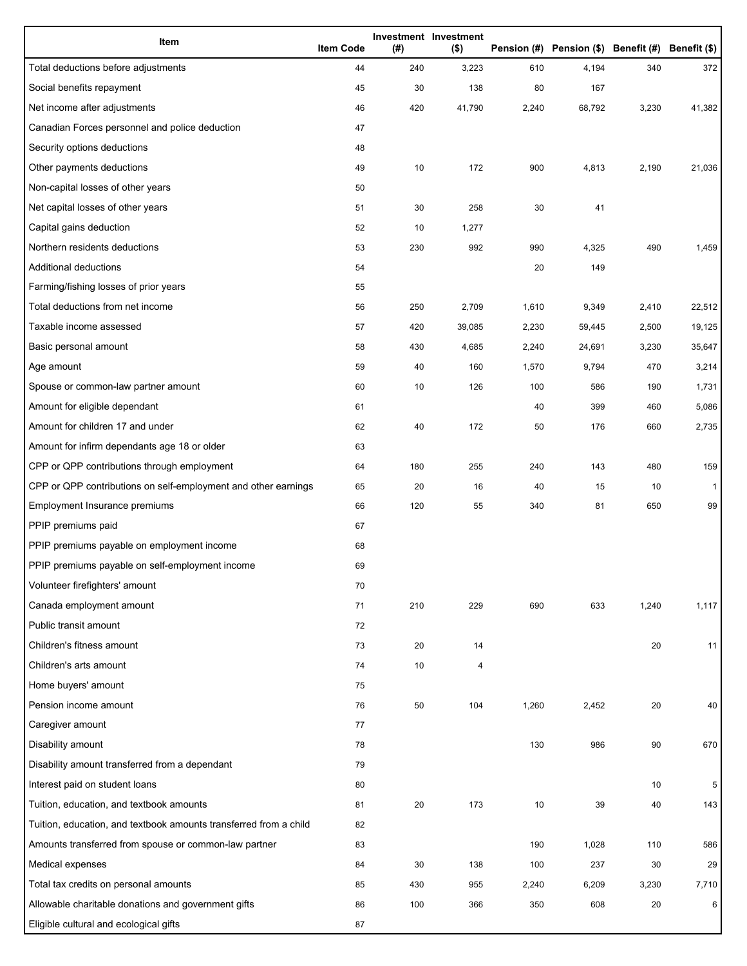| Item                                                              | <b>Item Code</b> | (#) | Investment Investment<br>$($ \$) |       | Pension (#) Pension (\$) Benefit (#) Benefit (\$) |       |              |
|-------------------------------------------------------------------|------------------|-----|----------------------------------|-------|---------------------------------------------------|-------|--------------|
| Total deductions before adjustments                               | 44               | 240 | 3,223                            | 610   | 4,194                                             | 340   | 372          |
| Social benefits repayment                                         | 45               | 30  | 138                              | 80    | 167                                               |       |              |
| Net income after adjustments                                      | 46               | 420 | 41,790                           | 2,240 | 68,792                                            | 3,230 | 41,382       |
| Canadian Forces personnel and police deduction                    | 47               |     |                                  |       |                                                   |       |              |
| Security options deductions                                       | 48               |     |                                  |       |                                                   |       |              |
| Other payments deductions                                         | 49               | 10  | 172                              | 900   | 4,813                                             | 2,190 | 21,036       |
| Non-capital losses of other years                                 | 50               |     |                                  |       |                                                   |       |              |
| Net capital losses of other years                                 | 51               | 30  | 258                              | 30    | 41                                                |       |              |
| Capital gains deduction                                           | 52               | 10  | 1,277                            |       |                                                   |       |              |
| Northern residents deductions                                     | 53               | 230 | 992                              | 990   | 4,325                                             | 490   | 1,459        |
| Additional deductions                                             | 54               |     |                                  | 20    | 149                                               |       |              |
| Farming/fishing losses of prior years                             | 55               |     |                                  |       |                                                   |       |              |
| Total deductions from net income                                  | 56               | 250 | 2,709                            | 1,610 | 9,349                                             | 2,410 | 22,512       |
| Taxable income assessed                                           | 57               | 420 | 39,085                           | 2,230 | 59,445                                            | 2,500 | 19,125       |
| Basic personal amount                                             | 58               | 430 | 4,685                            | 2,240 | 24,691                                            | 3,230 | 35,647       |
| Age amount                                                        | 59               | 40  | 160                              | 1,570 | 9,794                                             | 470   | 3,214        |
| Spouse or common-law partner amount                               | 60               | 10  | 126                              | 100   | 586                                               | 190   | 1,731        |
| Amount for eligible dependant                                     | 61               |     |                                  | 40    | 399                                               | 460   | 5,086        |
| Amount for children 17 and under                                  | 62               | 40  | 172                              | 50    | 176                                               | 660   | 2,735        |
| Amount for infirm dependants age 18 or older                      | 63               |     |                                  |       |                                                   |       |              |
| CPP or QPP contributions through employment                       | 64               | 180 | 255                              | 240   | 143                                               | 480   | 159          |
| CPP or QPP contributions on self-employment and other earnings    | 65               | 20  | 16                               | 40    | 15                                                | 10    | $\mathbf{1}$ |
| Employment Insurance premiums                                     | 66               | 120 | 55                               | 340   | 81                                                | 650   | 99           |
| PPIP premiums paid                                                | 67               |     |                                  |       |                                                   |       |              |
| PPIP premiums payable on employment income                        | 68               |     |                                  |       |                                                   |       |              |
| PPIP premiums payable on self-employment income                   | 69               |     |                                  |       |                                                   |       |              |
| Volunteer firefighters' amount                                    | 70               |     |                                  |       |                                                   |       |              |
| Canada employment amount                                          | 71               | 210 | 229                              | 690   | 633                                               | 1,240 | 1,117        |
| Public transit amount                                             | 72               |     |                                  |       |                                                   |       |              |
| Children's fitness amount                                         | 73               | 20  | 14                               |       |                                                   | 20    | 11           |
| Children's arts amount                                            | 74               | 10  | 4                                |       |                                                   |       |              |
| Home buyers' amount                                               | 75               |     |                                  |       |                                                   |       |              |
| Pension income amount                                             | 76               | 50  | 104                              | 1,260 | 2,452                                             | 20    | 40           |
| Caregiver amount                                                  | 77               |     |                                  |       |                                                   |       |              |
| Disability amount                                                 | 78               |     |                                  | 130   | 986                                               | 90    | 670          |
| Disability amount transferred from a dependant                    | 79               |     |                                  |       |                                                   |       |              |
| Interest paid on student loans                                    | 80               |     |                                  |       |                                                   | 10    | 5            |
| Tuition, education, and textbook amounts                          | 81               | 20  | 173                              | 10    | 39                                                | 40    | 143          |
| Tuition, education, and textbook amounts transferred from a child | 82               |     |                                  |       |                                                   |       |              |
| Amounts transferred from spouse or common-law partner             | 83               |     |                                  | 190   | 1,028                                             | 110   | 586          |
| Medical expenses                                                  | 84               | 30  | 138                              | 100   | 237                                               | 30    | 29           |
| Total tax credits on personal amounts                             | 85               | 430 | 955                              | 2,240 | 6,209                                             | 3,230 | 7,710        |
| Allowable charitable donations and government gifts               | 86               | 100 | 366                              | 350   | 608                                               | 20    | 6            |
| Eligible cultural and ecological gifts                            | 87               |     |                                  |       |                                                   |       |              |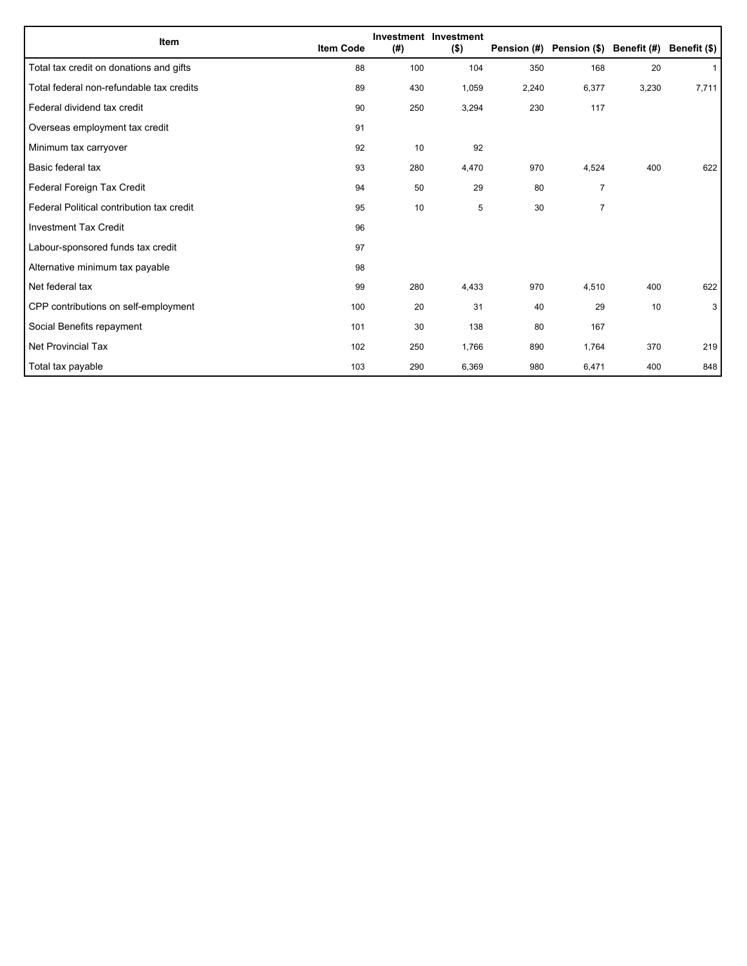| Item                                      | <b>Item Code</b> | (#) | <b>Investment Investment</b><br>$($ \$) | Pension (#) | Pension (\$) Benefit (#) |       | Benefit (\$) |
|-------------------------------------------|------------------|-----|-----------------------------------------|-------------|--------------------------|-------|--------------|
| Total tax credit on donations and gifts   | 88               | 100 | 104                                     | 350         | 168                      | 20    | $\mathbf{1}$ |
| Total federal non-refundable tax credits  | 89               | 430 | 1,059                                   | 2,240       | 6,377                    | 3,230 | 7,711        |
| Federal dividend tax credit               | 90               | 250 | 3,294                                   | 230         | 117                      |       |              |
| Overseas employment tax credit            | 91               |     |                                         |             |                          |       |              |
| Minimum tax carryover                     | 92               | 10  | 92                                      |             |                          |       |              |
| Basic federal tax                         | 93               | 280 | 4,470                                   | 970         | 4,524                    | 400   | 622          |
| Federal Foreign Tax Credit                | 94               | 50  | 29                                      | 80          | $\overline{7}$           |       |              |
| Federal Political contribution tax credit | 95               | 10  | 5                                       | 30          | $\overline{7}$           |       |              |
| <b>Investment Tax Credit</b>              | 96               |     |                                         |             |                          |       |              |
| Labour-sponsored funds tax credit         | 97               |     |                                         |             |                          |       |              |
| Alternative minimum tax payable           | 98               |     |                                         |             |                          |       |              |
| Net federal tax                           | 99               | 280 | 4,433                                   | 970         | 4,510                    | 400   | 622          |
| CPP contributions on self-employment      | 100              | 20  | 31                                      | 40          | 29                       | 10    | 3            |
| Social Benefits repayment                 | 101              | 30  | 138                                     | 80          | 167                      |       |              |
| Net Provincial Tax                        | 102              | 250 | 1,766                                   | 890         | 1,764                    | 370   | 219          |
| Total tax payable                         | 103              | 290 | 6,369                                   | 980         | 6,471                    | 400   | 848          |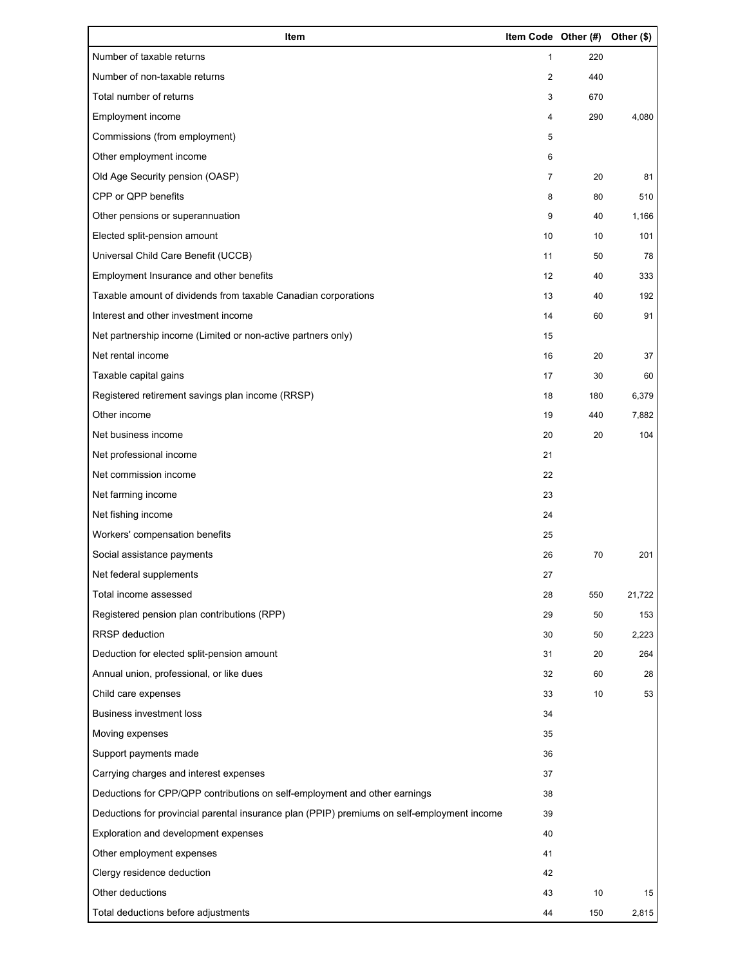| Item                                                                                        | Item Code Other (#) |     | Other (\$) |
|---------------------------------------------------------------------------------------------|---------------------|-----|------------|
| Number of taxable returns                                                                   | $\mathbf{1}$        | 220 |            |
| Number of non-taxable returns                                                               | 2                   | 440 |            |
| Total number of returns                                                                     | 3                   | 670 |            |
| Employment income                                                                           | 4                   | 290 | 4,080      |
| Commissions (from employment)                                                               | 5                   |     |            |
| Other employment income                                                                     | 6                   |     |            |
| Old Age Security pension (OASP)                                                             | $\overline{7}$      | 20  | 81         |
| CPP or QPP benefits                                                                         | 8                   | 80  | 510        |
| Other pensions or superannuation                                                            | 9                   | 40  | 1,166      |
| Elected split-pension amount                                                                | 10                  | 10  | 101        |
| Universal Child Care Benefit (UCCB)                                                         | 11                  | 50  | 78         |
| Employment Insurance and other benefits                                                     | 12                  | 40  | 333        |
| Taxable amount of dividends from taxable Canadian corporations                              | 13                  | 40  | 192        |
| Interest and other investment income                                                        | 14                  | 60  | 91         |
| Net partnership income (Limited or non-active partners only)                                | 15                  |     |            |
| Net rental income                                                                           | 16                  | 20  | 37         |
| Taxable capital gains                                                                       | 17                  | 30  | 60         |
| Registered retirement savings plan income (RRSP)                                            | 18                  | 180 | 6,379      |
| Other income                                                                                | 19                  | 440 | 7,882      |
| Net business income                                                                         | 20                  | 20  | 104        |
| Net professional income                                                                     | 21                  |     |            |
| Net commission income                                                                       | 22                  |     |            |
| Net farming income                                                                          | 23                  |     |            |
| Net fishing income                                                                          | 24                  |     |            |
| Workers' compensation benefits                                                              | 25                  |     |            |
| Social assistance payments                                                                  | 26                  | 70  | 201        |
| Net federal supplements                                                                     | 27                  |     |            |
| Total income assessed                                                                       | 28                  | 550 | 21,722     |
| Registered pension plan contributions (RPP)                                                 | 29                  | 50  | 153        |
| RRSP deduction                                                                              | 30                  | 50  | 2,223      |
| Deduction for elected split-pension amount                                                  | 31                  | 20  | 264        |
| Annual union, professional, or like dues                                                    | 32                  | 60  | 28         |
| Child care expenses                                                                         | 33                  | 10  | 53         |
| Business investment loss                                                                    | 34                  |     |            |
| Moving expenses                                                                             | 35                  |     |            |
| Support payments made                                                                       | 36                  |     |            |
| Carrying charges and interest expenses                                                      | 37                  |     |            |
| Deductions for CPP/QPP contributions on self-employment and other earnings                  | 38                  |     |            |
| Deductions for provincial parental insurance plan (PPIP) premiums on self-employment income | 39                  |     |            |
| Exploration and development expenses                                                        | 40                  |     |            |
| Other employment expenses                                                                   | 41                  |     |            |
| Clergy residence deduction                                                                  | 42                  |     |            |
| Other deductions                                                                            | 43                  | 10  | 15         |
| Total deductions before adjustments                                                         | 44                  | 150 | 2,815      |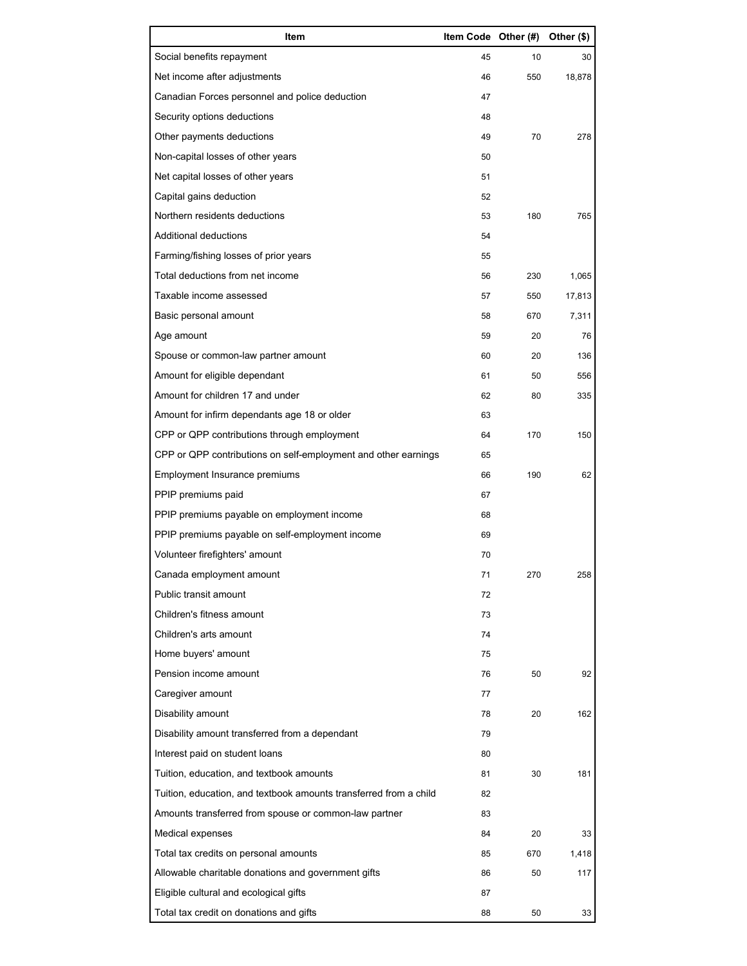| Item                                                              | Item Code Other (#) |     | Other (\$) |
|-------------------------------------------------------------------|---------------------|-----|------------|
| Social benefits repayment                                         | 45                  | 10  | 30         |
| Net income after adjustments                                      | 46                  | 550 | 18,878     |
| Canadian Forces personnel and police deduction                    | 47                  |     |            |
| Security options deductions                                       | 48                  |     |            |
| Other payments deductions                                         | 49                  | 70  | 278        |
| Non-capital losses of other years                                 | 50                  |     |            |
| Net capital losses of other years                                 | 51                  |     |            |
| Capital gains deduction                                           | 52                  |     |            |
| Northern residents deductions                                     | 53                  | 180 | 765        |
| Additional deductions                                             | 54                  |     |            |
| Farming/fishing losses of prior years                             | 55                  |     |            |
| Total deductions from net income                                  | 56                  | 230 | 1,065      |
| Taxable income assessed                                           | 57                  | 550 | 17,813     |
| Basic personal amount                                             | 58                  | 670 | 7,311      |
| Age amount                                                        | 59                  | 20  | 76         |
| Spouse or common-law partner amount                               | 60                  | 20  | 136        |
| Amount for eligible dependant                                     | 61                  | 50  | 556        |
| Amount for children 17 and under                                  | 62                  | 80  | 335        |
| Amount for infirm dependants age 18 or older                      | 63                  |     |            |
| CPP or QPP contributions through employment                       | 64                  | 170 | 150        |
| CPP or QPP contributions on self-employment and other earnings    | 65                  |     |            |
| Employment Insurance premiums                                     | 66                  | 190 | 62         |
| PPIP premiums paid                                                | 67                  |     |            |
| PPIP premiums payable on employment income                        | 68                  |     |            |
| PPIP premiums payable on self-employment income                   | 69                  |     |            |
| Volunteer firefighters' amount                                    | 70                  |     |            |
| Canada employment amount                                          | 71                  |     | 258        |
| Public transit amount                                             | 72                  |     |            |
| Children's fitness amount                                         | 73                  |     |            |
| Children's arts amount                                            | 74                  |     |            |
| Home buyers' amount                                               | 75                  |     |            |
| Pension income amount                                             | 76                  | 50  | 92         |
| Caregiver amount                                                  | 77                  |     |            |
| Disability amount                                                 | 78                  | 20  | 162        |
| Disability amount transferred from a dependant                    | 79                  |     |            |
| Interest paid on student loans                                    | 80                  |     |            |
| Tuition, education, and textbook amounts                          | 81                  | 30  | 181        |
| Tuition, education, and textbook amounts transferred from a child | 82                  |     |            |
| Amounts transferred from spouse or common-law partner             | 83                  |     |            |
| Medical expenses                                                  | 84                  | 20  | 33         |
| Total tax credits on personal amounts                             | 85                  | 670 | 1,418      |
| Allowable charitable donations and government gifts               | 86                  | 50  | 117        |
| Eligible cultural and ecological gifts                            | 87                  |     |            |
| Total tax credit on donations and gifts                           | 88                  | 50  | 33         |